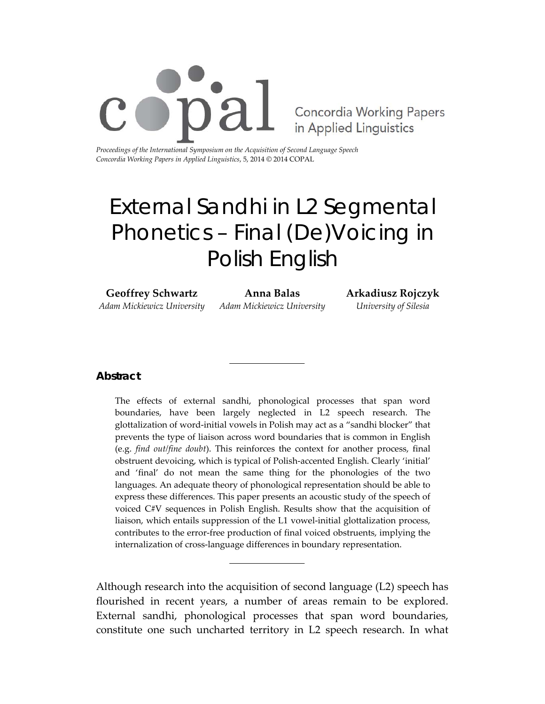

*Proceedings of the International Symposium on the Acquisition of Second Language Speech Concordia Working Papers in Applied Linguistics*, 5, 2014 © 2014 COPAL

# External Sandhi in L2 Segmental Phonetics – Final (De)Voicing in Polish English

**Geoffrey Schwartz** *Adam Mickiewicz University* **Anna Balas** *Adam Mickiewicz University* **Arkadiusz Rojczyk** *University of Silesia*

## **Abstract**

The effects of external sandhi, phonological processes that span word boundaries, have been largely neglected in L2 speech research. The glottalization of word‐initial vowels in Polish may act as a "sandhi blocker" that prevents the type of liaison across word boundaries that is common in English (e.g. *find out/fine doubt*). This reinforces the context for another process, final obstruent devoicing, which is typical of Polish‐accented English. Clearly 'initial' and 'final' do not mean the same thing for the phonologies of the two languages. An adequate theory of phonological representation should be able to express these differences. This paper presents an acoustic study of the speech of voiced C#V sequences in Polish English. Results show that the acquisition of liaison, which entails suppression of the L1 vowel‐initial glottalization process, contributes to the error-free production of final voiced obstruents, implying the internalization of cross‐language differences in boundary representation.

Although research into the acquisition of second language (L2) speech has flourished in recent years, a number of areas remain to be explored. External sandhi, phonological processes that span word boundaries, constitute one such uncharted territory in L2 speech research. In what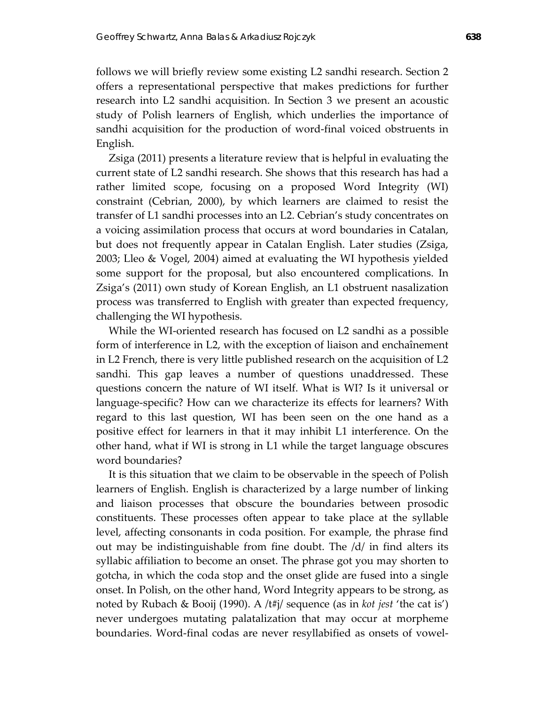follows we will briefly review some existing L2 sandhi research. Section 2 offers a representational perspective that makes predictions for further research into L2 sandhi acquisition. In Section 3 we present an acoustic study of Polish learners of English, which underlies the importance of sandhi acquisition for the production of word‐final voiced obstruents in English.

Zsiga (2011) presents a literature review that is helpful in evaluating the current state of L2 sandhi research. She shows that this research has had a rather limited scope, focusing on a proposed Word Integrity (WI) constraint (Cebrian, 2000), by which learners are claimed to resist the transfer of L1 sandhi processes into an L2. Cebrian's study concentrates on a voicing assimilation process that occurs at word boundaries in Catalan, but does not frequently appear in Catalan English. Later studies (Zsiga, 2003; Lleo & Vogel, 2004) aimed at evaluating the WI hypothesis yielded some support for the proposal, but also encountered complications. In Zsiga's (2011) own study of Korean English, an L1 obstruent nasalization process was transferred to English with greater than expected frequency, challenging the WI hypothesis.

While the WI-oriented research has focused on L2 sandhi as a possible form of interference in L2, with the exception of liaison and enchaînement in L2 French, there is very little published research on the acquisition of L2 sandhi. This gap leaves a number of questions unaddressed. These questions concern the nature of WI itself. What is WI? Is it universal or language‐specific? How can we characterize its effects for learners? With regard to this last question, WI has been seen on the one hand as a positive effect for learners in that it may inhibit L1 interference. On the other hand, what if WI is strong in L1 while the target language obscures word boundaries?

It is this situation that we claim to be observable in the speech of Polish learners of English. English is characterized by a large number of linking and liaison processes that obscure the boundaries between prosodic constituents. These processes often appear to take place at the syllable level, affecting consonants in coda position. For example, the phrase find out may be indistinguishable from fine doubt. The /d/ in find alters its syllabic affiliation to become an onset. The phrase got you may shorten to gotcha, in which the coda stop and the onset glide are fused into a single onset. In Polish, on the other hand, Word Integrity appears to be strong, as noted by Rubach & Booij (1990). A /t#j/ sequence (as in *kot jest* 'the cat is') never undergoes mutating palatalization that may occur at morpheme boundaries. Word‐final codas are never resyllabified as onsets of vowel‐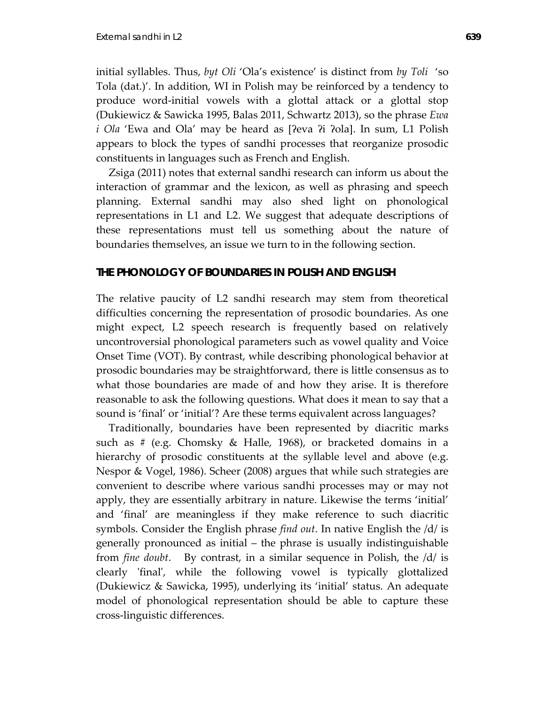initial syllables. Thus, *byt Oli* 'Ola's existence' is distinct from *by Toli* 'so Tola (dat.)'. In addition, WI in Polish may be reinforced by a tendency to produce word‐initial vowels with a glottal attack or a glottal stop (Dukiewicz & Sawicka 1995, Balas 2011, Schwartz 2013), so the phrase *Ewa i Ola* 'Ewa and Ola' may be heard as [ʔeva ʔi ʔola]. In sum, L1 Polish appears to block the types of sandhi processes that reorganize prosodic constituents in languages such as French and English.

Zsiga (2011) notes that external sandhi research can inform us about the interaction of grammar and the lexicon, as well as phrasing and speech planning. External sandhi may also shed light on phonological representations in L1 and L2. We suggest that adequate descriptions of these representations must tell us something about the nature of boundaries themselves, an issue we turn to in the following section.

### **THE PHONOLOGY OF BOUNDARIES IN POLISH AND ENGLISH**

The relative paucity of L2 sandhi research may stem from theoretical difficulties concerning the representation of prosodic boundaries. As one might expect, L2 speech research is frequently based on relatively uncontroversial phonological parameters such as vowel quality and Voice Onset Time (VOT). By contrast, while describing phonological behavior at prosodic boundaries may be straightforward, there is little consensus as to what those boundaries are made of and how they arise. It is therefore reasonable to ask the following questions. What does it mean to say that a sound is 'final' or 'initial'? Are these terms equivalent across languages?

Traditionally, boundaries have been represented by diacritic marks such as # (e.g. Chomsky & Halle, 1968), or bracketed domains in a hierarchy of prosodic constituents at the syllable level and above (e.g. Nespor & Vogel, 1986). Scheer (2008) argues that while such strategies are convenient to describe where various sandhi processes may or may not apply, they are essentially arbitrary in nature. Likewise the terms 'initial' and 'final' are meaningless if they make reference to such diacritic symbols. Consider the English phrase *find out*. In native English the /d/ is generally pronounced as initial – the phrase is usually indistinguishable from *fine doubt*. By contrast, in a similar sequence in Polish, the /d/ is clearly 'final', while the following vowel is typically glottalized (Dukiewicz & Sawicka, 1995), underlying its 'initial' status. An adequate model of phonological representation should be able to capture these cross‐linguistic differences.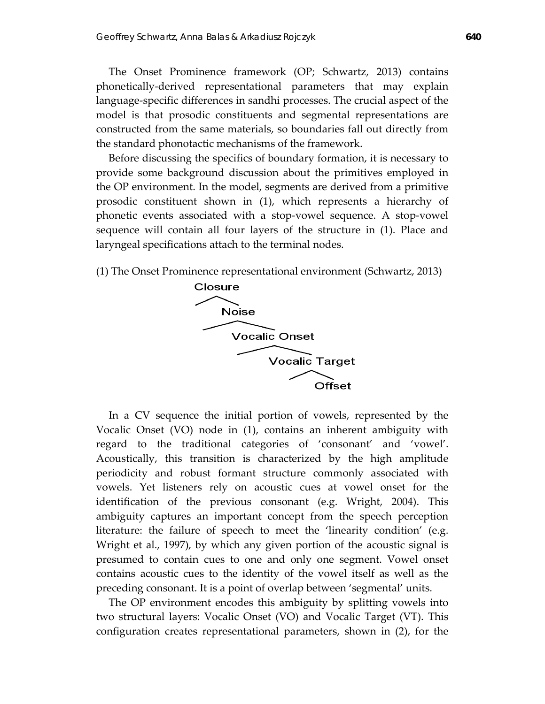The Onset Prominence framework (OP; Schwartz, 2013) contains phonetically‐derived representational parameters that may explain language‐specific differences in sandhi processes. The crucial aspect of the model is that prosodic constituents and segmental representations are constructed from the same materials, so boundaries fall out directly from the standard phonotactic mechanisms of the framework.

Before discussing the specifics of boundary formation, it is necessary to provide some background discussion about the primitives employed in the OP environment. In the model, segments are derived from a primitive prosodic constituent shown in (1), which represents a hierarchy of phonetic events associated with a stop‐vowel sequence. A stop‐vowel sequence will contain all four layers of the structure in (1). Place and laryngeal specifications attach to the terminal nodes.

(1) The Onset Prominence representational environment (Schwartz, 2013)



In a CV sequence the initial portion of vowels, represented by the Vocalic Onset (VO) node in (1), contains an inherent ambiguity with regard to the traditional categories of 'consonant' and 'vowel'. Acoustically, this transition is characterized by the high amplitude periodicity and robust formant structure commonly associated with vowels. Yet listeners rely on acoustic cues at vowel onset for the identification of the previous consonant (e.g. Wright, 2004). This ambiguity captures an important concept from the speech perception literature: the failure of speech to meet the 'linearity condition' (e.g. Wright et al., 1997), by which any given portion of the acoustic signal is presumed to contain cues to one and only one segment. Vowel onset contains acoustic cues to the identity of the vowel itself as well as the preceding consonant. It is a point of overlap between 'segmental' units.

The OP environment encodes this ambiguity by splitting vowels into two structural layers: Vocalic Onset (VO) and Vocalic Target (VT). This configuration creates representational parameters, shown in (2), for the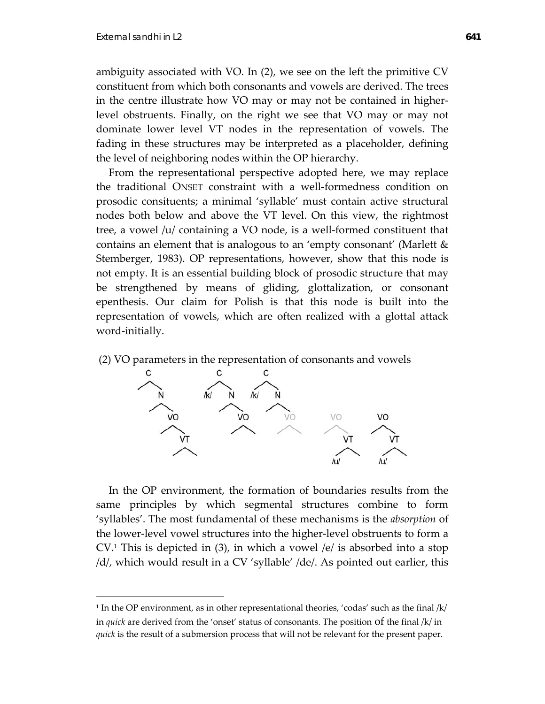$\overline{a}$ 

ambiguity associated with VO. In (2), we see on the left the primitive CV constituent from which both consonants and vowels are derived. The trees in the centre illustrate how VO may or may not be contained in higher‐ level obstruents. Finally, on the right we see that VO may or may not dominate lower level VT nodes in the representation of vowels. The fading in these structures may be interpreted as a placeholder, defining the level of neighboring nodes within the OP hierarchy.

From the representational perspective adopted here, we may replace the traditional ONSET constraint with a well-formedness condition on prosodic consituents; a minimal 'syllable' must contain active structural nodes both below and above the VT level. On this view, the rightmost tree, a vowel /u/ containing a VO node, is a well‐formed constituent that contains an element that is analogous to an 'empty consonant' (Marlett & Stemberger, 1983). OP representations, however, show that this node is not empty. It is an essential building block of prosodic structure that may be strengthened by means of gliding, glottalization, or consonant epenthesis. Our claim for Polish is that this node is built into the representation of vowels, which are often realized with a glottal attack word-initially.





In the OP environment, the formation of boundaries results from the same principles by which segmental structures combine to form 'syllables'. The most fundamental of these mechanisms is the *absorption* of the lower‐level vowel structures into the higher‐level obstruents to form a  $CV<sup>1</sup>$ . This is depicted in (3), in which a vowel /e/ is absorbed into a stop /d/, which would result in a CV 'syllable' /de/. As pointed out earlier, this

<sup>&</sup>lt;sup>1</sup> In the OP environment, as in other representational theories, 'codas' such as the final  $/k/$ in *quick* are derived from the 'onset' status of consonants. The position of the final /k/ in *quick* is the result of a submersion process that will not be relevant for the present paper.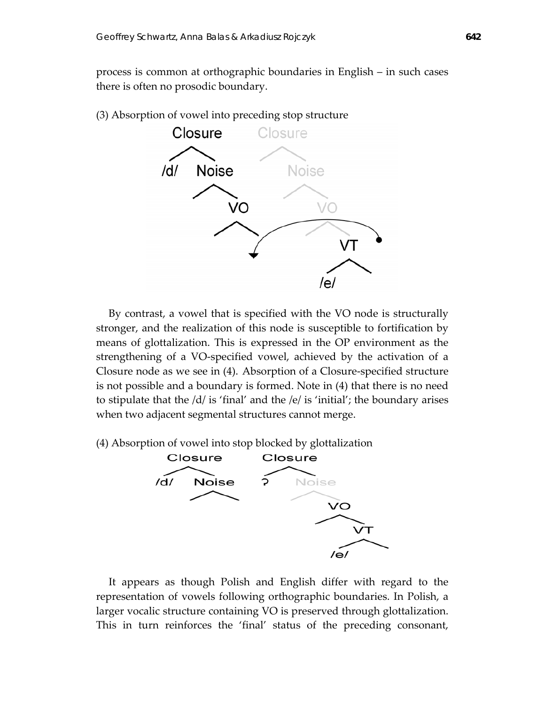process is common at orthographic boundaries in English – in such cases there is often no prosodic boundary.

(3) Absorption of vowel into preceding stop structure



By contrast, a vowel that is specified with the VO node is structurally stronger, and the realization of this node is susceptible to fortification by means of glottalization. This is expressed in the OP environment as the strengthening of a VO‐specified vowel, achieved by the activation of a Closure node as we see in (4). Absorption of a Closure‐specified structure is not possible and a boundary is formed. Note in (4) that there is no need to stipulate that the /d/ is 'final' and the /e/ is 'initial'; the boundary arises when two adjacent segmental structures cannot merge.

(4) Absorption of vowel into stop blocked by glottalization



It appears as though Polish and English differ with regard to the representation of vowels following orthographic boundaries. In Polish, a larger vocalic structure containing VO is preserved through glottalization. This in turn reinforces the 'final' status of the preceding consonant,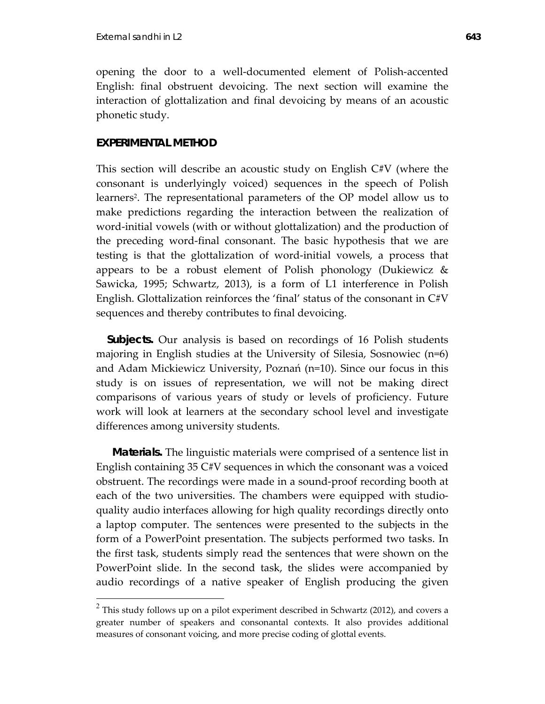opening the door to a well‐documented element of Polish‐accented English: final obstruent devoicing. The next section will examine the interaction of glottalization and final devoicing by means of an acoustic phonetic study.

## **EXPERIMENTAL METHOD**

 $\overline{a}$ 

This section will describe an acoustic study on English C#V (where the consonant is underlyingly voiced) sequences in the speech of Polish learners<sup>2</sup>. The representational parameters of the OP model allow us to make predictions regarding the interaction between the realization of word-initial vowels (with or without glottalization) and the production of the preceding word‐final consonant. The basic hypothesis that we are testing is that the glottalization of word‐initial vowels, a process that appears to be a robust element of Polish phonology (Dukiewicz & Sawicka, 1995; Schwartz, 2013), is a form of L1 interference in Polish English. Glottalization reinforces the 'final' status of the consonant in C#V sequences and thereby contributes to final devoicing.

*Subjects.* Our analysis is based on recordings of 16 Polish students majoring in English studies at the University of Silesia, Sosnowiec (n=6) and Adam Mickiewicz University, Poznań (n=10). Since our focus in this study is on issues of representation, we will not be making direct comparisons of various years of study or levels of proficiency. Future work will look at learners at the secondary school level and investigate differences among university students.

*Materials.* The linguistic materials were comprised of a sentence list in English containing 35 C#V sequences in which the consonant was a voiced obstruent. The recordings were made in a sound‐proof recording booth at each of the two universities. The chambers were equipped with studioquality audio interfaces allowing for high quality recordings directly onto a laptop computer. The sentences were presented to the subjects in the form of a PowerPoint presentation. The subjects performed two tasks. In the first task, students simply read the sentences that were shown on the PowerPoint slide. In the second task, the slides were accompanied by audio recordings of a native speaker of English producing the given

 $2$  This study follows up on a pilot experiment described in Schwartz (2012), and covers a greater number of speakers and consonantal contexts. It also provides additional measures of consonant voicing, and more precise coding of glottal events.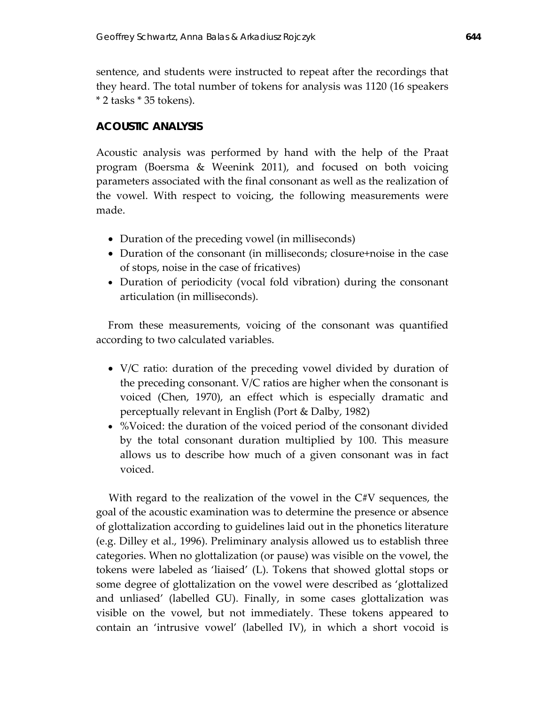sentence, and students were instructed to repeat after the recordings that they heard. The total number of tokens for analysis was 1120 (16 speakers \* 2 tasks \* 35 tokens).

# **ACOUSTIC ANALYSIS**

Acoustic analysis was performed by hand with the help of the Praat program (Boersma & Weenink 2011), and focused on both voicing parameters associated with the final consonant as well as the realization of the vowel. With respect to voicing, the following measurements were made.

- Duration of the preceding vowel (in milliseconds)
- Duration of the consonant (in milliseconds; closure+noise in the case of stops, noise in the case of fricatives)
- Duration of periodicity (vocal fold vibration) during the consonant articulation (in milliseconds).

From these measurements, voicing of the consonant was quantified according to two calculated variables.

- V/C ratio: duration of the preceding vowel divided by duration of the preceding consonant. V/C ratios are higher when the consonant is voiced (Chen, 1970), an effect which is especially dramatic and perceptually relevant in English (Port & Dalby, 1982)
- %Voiced: the duration of the voiced period of the consonant divided by the total consonant duration multiplied by 100. This measure allows us to describe how much of a given consonant was in fact voiced.

With regard to the realization of the vowel in the C#V sequences, the goal of the acoustic examination was to determine the presence or absence of glottalization according to guidelines laid out in the phonetics literature (e.g. Dilley et al., 1996). Preliminary analysis allowed us to establish three categories. When no glottalization (or pause) was visible on the vowel, the tokens were labeled as 'liaised' (L). Tokens that showed glottal stops or some degree of glottalization on the vowel were described as 'glottalized and unliased' (labelled GU). Finally, in some cases glottalization was visible on the vowel, but not immediately. These tokens appeared to contain an 'intrusive vowel' (labelled IV), in which a short vocoid is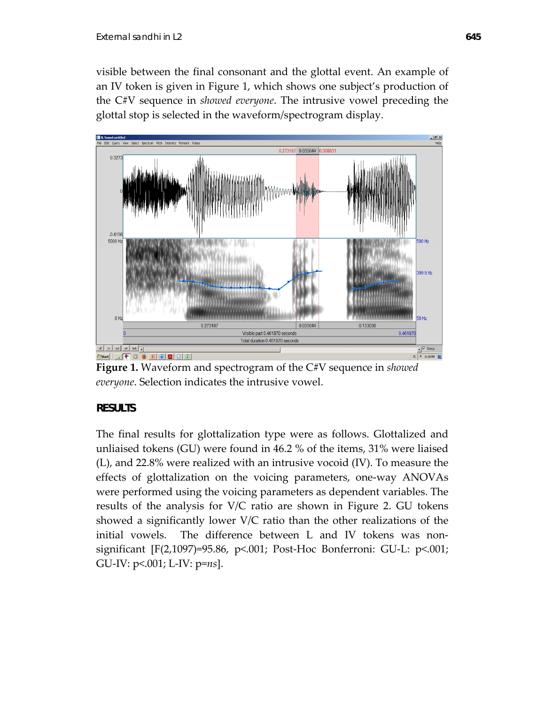visible between the final consonant and the glottal event. An example of an IV token is given in Figure 1, which shows one subject's production of the C#V sequence in *showed everyone*. The intrusive vowel preceding the glottal stop is selected in the waveform/spectrogram display.



**Figure 1.** Waveform and spectrogram of the C#V sequence in *showed everyone*. Selection indicates the intrusive vowel.

# **RESULTS**

The final results for glottalization type were as follows. Glottalized and unliaised tokens (GU) were found in 46.2 % of the items, 31% were liaised (L), and 22.8% were realized with an intrusive vocoid (IV). To measure the effects of glottalization on the voicing parameters, one‐way ANOVAs were performed using the voicing parameters as dependent variables. The results of the analysis for V/C ratio are shown in Figure 2. GU tokens showed a significantly lower V/C ratio than the other realizations of the initial vowels. The difference between L and IV tokens was nonsignificant [F(2,1097)=95.86, p<.001; Post‐Hoc Bonferroni: GU‐L: p<.001; GU‐IV: p<.001; L‐IV: p=*ns*].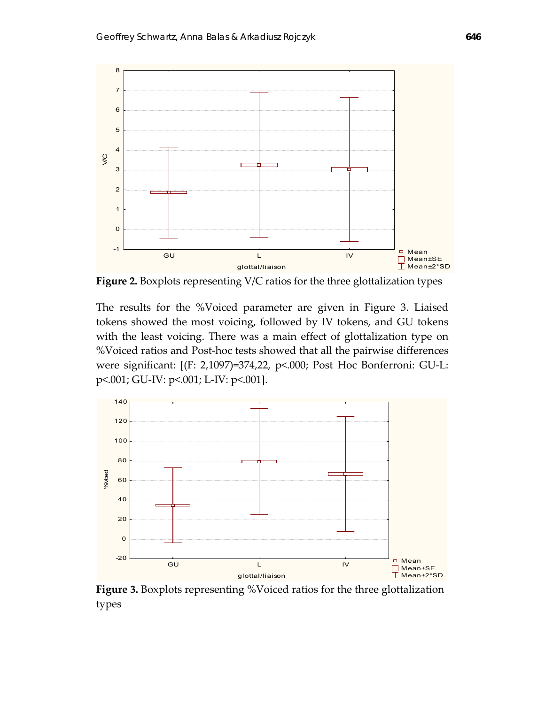

**Figure 2.** Boxplots representing V/C ratios for the three glottalization types

The results for the %Voiced parameter are given in Figure 3. Liaised tokens showed the most voicing, followed by IV tokens, and GU tokens with the least voicing. There was a main effect of glottalization type on %Voiced ratios and Post‐hoc tests showed that all the pairwise differences were significant: [(F: 2,1097)=374,22, p<.000; Post Hoc Bonferroni: GU‐L: p<.001; GU‐IV: p<.001; L‐IV: p<.001].



**Figure 3.** Boxplots representing %Voiced ratios for the three glottalization types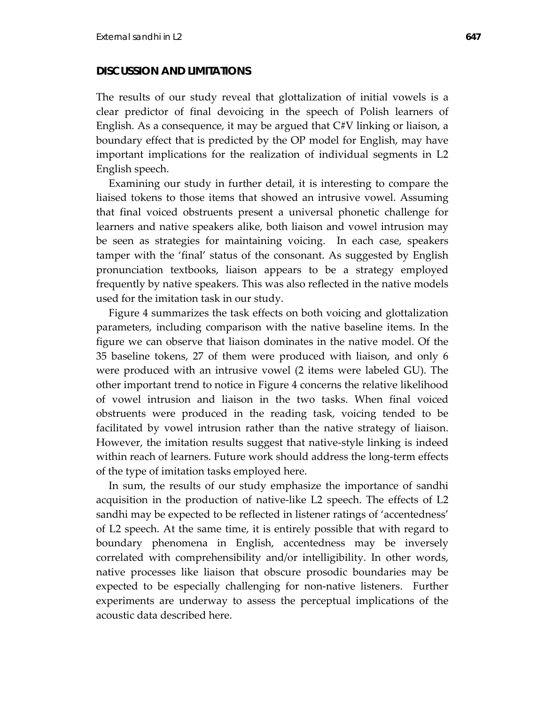### **DISCUSSION AND LIMITATIONS**

The results of our study reveal that glottalization of initial vowels is a clear predictor of final devoicing in the speech of Polish learners of English. As a consequence, it may be argued that C#V linking or liaison, a boundary effect that is predicted by the OP model for English, may have important implications for the realization of individual segments in L2 English speech.

Examining our study in further detail, it is interesting to compare the liaised tokens to those items that showed an intrusive vowel. Assuming that final voiced obstruents present a universal phonetic challenge for learners and native speakers alike, both liaison and vowel intrusion may be seen as strategies for maintaining voicing. In each case, speakers tamper with the 'final' status of the consonant. As suggested by English pronunciation textbooks, liaison appears to be a strategy employed frequently by native speakers. This was also reflected in the native models used for the imitation task in our study.

Figure 4 summarizes the task effects on both voicing and glottalization parameters, including comparison with the native baseline items. In the figure we can observe that liaison dominates in the native model. Of the 35 baseline tokens, 27 of them were produced with liaison, and only 6 were produced with an intrusive vowel (2 items were labeled GU). The other important trend to notice in Figure 4 concerns the relative likelihood of vowel intrusion and liaison in the two tasks. When final voiced obstruents were produced in the reading task, voicing tended to be facilitated by vowel intrusion rather than the native strategy of liaison. However, the imitation results suggest that native‐style linking is indeed within reach of learners. Future work should address the long‐term effects of the type of imitation tasks employed here.

In sum, the results of our study emphasize the importance of sandhi acquisition in the production of native‐like L2 speech. The effects of L2 sandhi may be expected to be reflected in listener ratings of 'accentedness' of L2 speech. At the same time, it is entirely possible that with regard to boundary phenomena in English, accentedness may be inversely correlated with comprehensibility and/or intelligibility. In other words, native processes like liaison that obscure prosodic boundaries may be expected to be especially challenging for non-native listeners. Further experiments are underway to assess the perceptual implications of the acoustic data described here.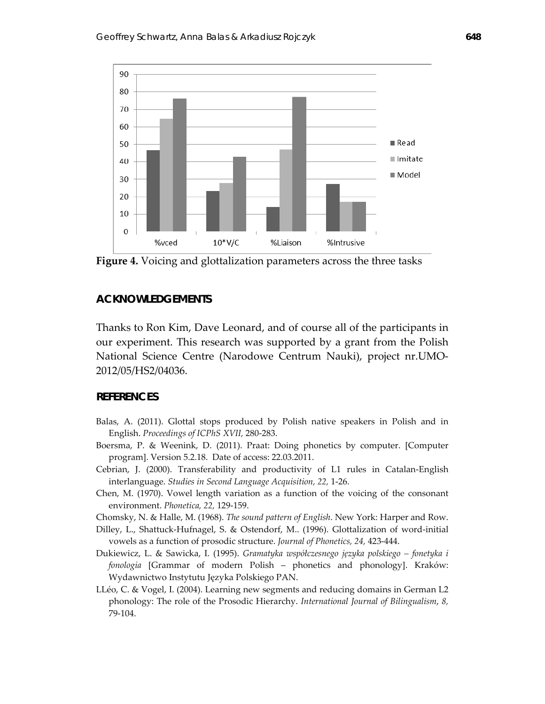

**Figure 4.** Voicing and glottalization parameters across the three tasks

## **ACKNOWLEDGEMENTS**

Thanks to Ron Kim, Dave Leonard, and of course all of the participants in our experiment. This research was supported by a grant from the Polish National Science Centre (Narodowe Centrum Nauki), project nr.UMO‐ 2012/05/HS2/04036.

### **REFERENCES**

- Balas, A. (2011). Glottal stops produced by Polish native speakers in Polish and in English. *Proceedings of ICPhS XVII,* 280‐283.
- Boersma, P. & Weenink, D. (2011). Praat: Doing phonetics by computer. [Computer program]. Version 5.2.18. Date of access: 22.03.2011.
- Cebrian, J. (2000). Transferability and productivity of L1 rules in Catalan‐English interlanguage. *Studies in Second Language Acquisition, 22,* 1‐26.
- Chen, M. (1970). Vowel length variation as a function of the voicing of the consonant environment. *Phonetica, 22,* 129‐159.
- Chomsky, N. & Halle, M. (1968). *The sound pattern of English*. New York: Harper and Row.
- Dilley, L., Shattuck‐Hufnagel, S. & Ostendorf, M.. (1996). Glottalization of word‐initial vowels as a function of prosodic structure. *Journal of Phonetics, 24,* 423‐444.
- Dukiewicz, L. & Sawicka, I. (1995). *Gramatyka współczesnego języka polskiego – fonetyka i fonologia* [Grammar of modern Polish – phonetics and phonology]. Kraków: Wydawnictwo Instytutu Języka Polskiego PAN.
- LLéo, C. & Vogel, I. (2004). Learning new segments and reducing domains in German L2 phonology: The role of the Prosodic Hierarchy. *International Journal of Bilingualism*, *8,* 79‐104.